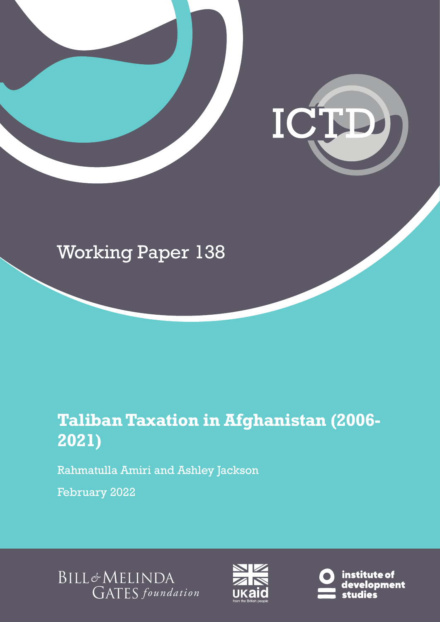

## Working Paper 138

## **Taliban Taxation in Afghanistan (2006- 2021)**

Rahmatulla Amiri and Ashley Jackson

February 2022

BILL&MELINDA GATES foundation



institute of development .<br>studies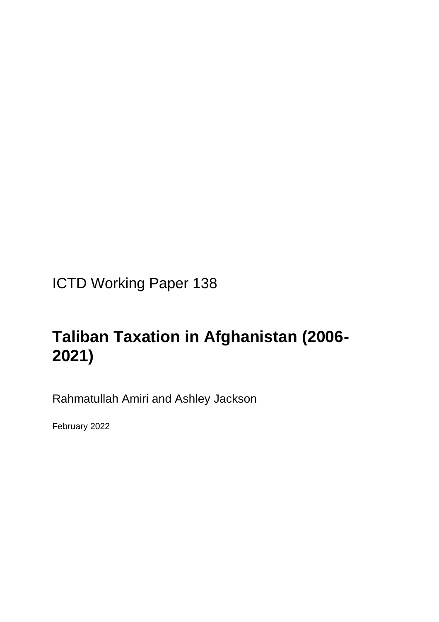ICTD Working Paper 138

## **Taliban Taxation in Afghanistan (2006- 2021)**

Rahmatullah Amiri and Ashley Jackson

February 2022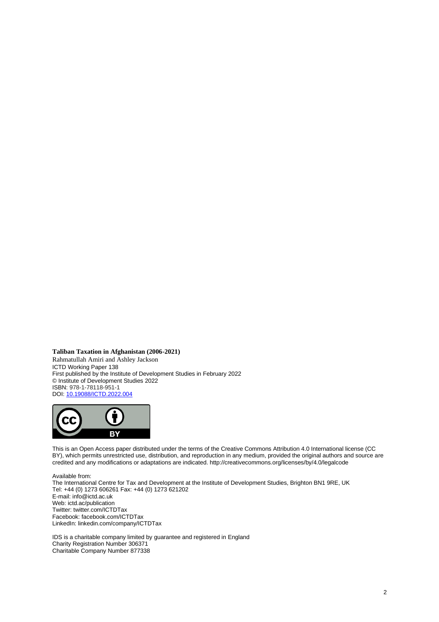**Taliban Taxation in Afghanistan (2006-2021)**

Rahmatullah Amiri and Ashley Jackson ICTD Working Paper 138 First published by the Institute of Development Studies in February 2022 © Institute of Development Studies 2022 ISBN: 978-1-78118-951-1 DOI[: 10.19088/ICTD.2022.004](https://eur02.safelinks.protection.outlook.com/?url=https%3A%2F%2Fdoi.org%2F10.19088%2FICTD.2022.004&data=04%7C01%7CD.Szpotowicz%40ids.ac.uk%7Cd3fdc38cd8b84dcd6bd708d9f54474d2%7Ce78be64af7754a2e9ec85e66e224b88f%7C0%7C0%7C637810496627924503%7CUnknown%7CTWFpbGZsb3d8eyJWIjoiMC4wLjAwMDAiLCJQIjoiV2luMzIiLCJBTiI6Ik1haWwiLCJXVCI6Mn0%3D%7C3000&sdata=xsAA2WhooBT%2BgXPokna4fEtG1KO%2FFcVrAtPesra%2F%2BlY%3D&reserved=0)



This is an Open Access paper distributed under the terms of the Creative Commons Attribution 4.0 International license (CC BY), which permits unrestricted use, distribution, and reproduction in any medium, provided the original authors and source are credited and any modifications or adaptations are indicated. http://creativecommons.org/licenses/by/4.0/legalcode

Available from:

The International Centre for Tax and Development at the Institute of Development Studies, Brighton BN1 9RE, UK Tel: +44 (0) 1273 606261 Fax: +44 (0) 1273 621202 E-mail: info@ictd.ac.uk Web: ictd.ac/publication Twitter: twitter.com/ICTDTax Facebook: facebook.com/ICTDTax LinkedIn: linkedin.com/company/ICTDTax

IDS is a charitable company limited by guarantee and registered in England Charity Registration Number 306371 Charitable Company Number 877338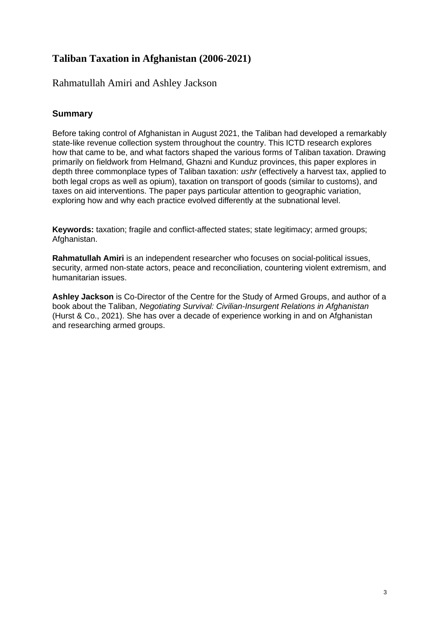## **Taliban Taxation in Afghanistan (2006-2021)**

## Rahmatullah Amiri and Ashley Jackson

### **Summary**

Before taking control of Afghanistan in August 2021, the Taliban had developed a remarkably state-like revenue collection system throughout the country. This ICTD research explores how that came to be, and what factors shaped the various forms of Taliban taxation. Drawing primarily on fieldwork from Helmand, Ghazni and Kunduz provinces, this paper explores in depth three commonplace types of Taliban taxation: *ushr* (effectively a harvest tax, applied to both legal crops as well as opium), taxation on transport of goods (similar to customs), and taxes on aid interventions. The paper pays particular attention to geographic variation, exploring how and why each practice evolved differently at the subnational level.

**Keywords:** taxation; fragile and conflict-affected states; state legitimacy; armed groups; Afghanistan.

**Rahmatullah Amiri** is an independent researcher who focuses on social-political issues, security, armed non-state actors, peace and reconciliation, countering violent extremism, and humanitarian issues.

**Ashley Jackson** is Co-Director of the Centre for the Study of Armed Groups, and author of a book about the Taliban, *Negotiating Survival: Civilian-Insurgent Relations in Afghanistan* (Hurst & Co., 2021). She has over a decade of experience working in and on Afghanistan and researching armed groups.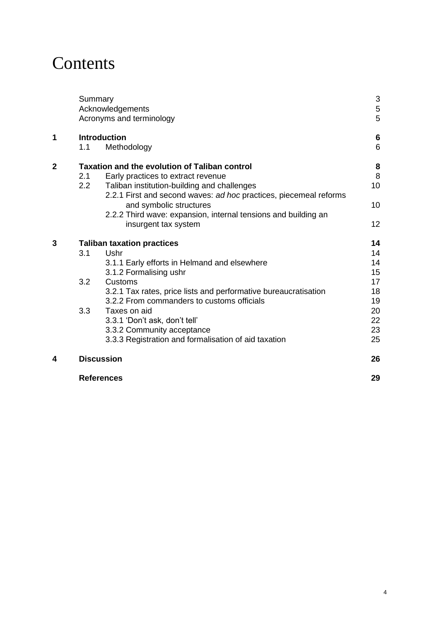## Contents

|              | Summary<br>Acknowledgements<br>Acronyms and terminology |                                                                                                                                                                                                                                                                                                                                                                                        | 3<br>5<br>5                                                    |
|--------------|---------------------------------------------------------|----------------------------------------------------------------------------------------------------------------------------------------------------------------------------------------------------------------------------------------------------------------------------------------------------------------------------------------------------------------------------------------|----------------------------------------------------------------|
| 1            | 1.1                                                     | <b>Introduction</b><br>Methodology                                                                                                                                                                                                                                                                                                                                                     | 6<br>6                                                         |
| $\mathbf{2}$ | 2.1<br>2.2                                              | <b>Taxation and the evolution of Taliban control</b><br>Early practices to extract revenue<br>Taliban institution-building and challenges<br>2.2.1 First and second waves: ad hoc practices, piecemeal reforms<br>and symbolic structures<br>2.2.2 Third wave: expansion, internal tensions and building an<br>insurgent tax system                                                    | 8<br>8<br>10<br>10<br>12                                       |
| 3            | 3.1<br>3.2<br>3.3                                       | <b>Taliban taxation practices</b><br>Ushr<br>3.1.1 Early efforts in Helmand and elsewhere<br>3.1.2 Formalising ushr<br>Customs<br>3.2.1 Tax rates, price lists and performative bureaucratisation<br>3.2.2 From commanders to customs officials<br>Taxes on aid<br>3.3.1 'Don't ask, don't tell'<br>3.3.2 Community acceptance<br>3.3.3 Registration and formalisation of aid taxation | 14<br>14<br>14<br>15<br>17<br>18<br>19<br>20<br>22<br>23<br>25 |
| 4            | <b>Discussion</b>                                       |                                                                                                                                                                                                                                                                                                                                                                                        |                                                                |
|              | <b>References</b>                                       |                                                                                                                                                                                                                                                                                                                                                                                        | 29                                                             |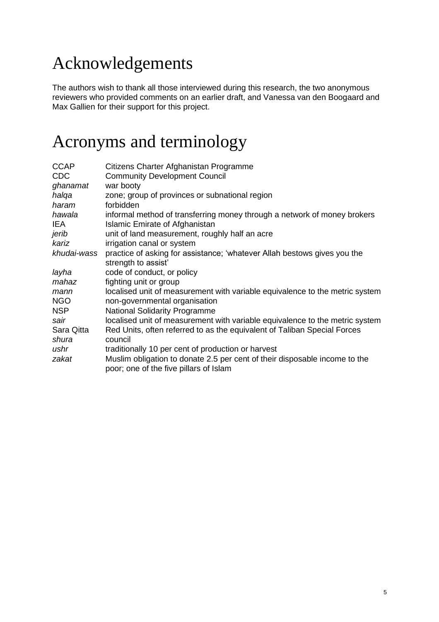## Acknowledgements

The authors wish to thank all those interviewed during this research, the two anonymous reviewers who provided comments on an earlier draft, and Vanessa van den Boogaard and Max Gallien for their support for this project.

## Acronyms and terminology

| <b>CCAP</b> | Citizens Charter Afghanistan Programme                                                                               |
|-------------|----------------------------------------------------------------------------------------------------------------------|
| <b>CDC</b>  | <b>Community Development Council</b>                                                                                 |
| ghanamat    | war booty                                                                                                            |
| halqa       | zone; group of provinces or subnational region                                                                       |
| haram       | forbidden                                                                                                            |
| hawala      | informal method of transferring money through a network of money brokers                                             |
| IEA         | <b>Islamic Emirate of Afghanistan</b>                                                                                |
| jerib       | unit of land measurement, roughly half an acre                                                                       |
| kariz       | irrigation canal or system                                                                                           |
| khudai-wass | practice of asking for assistance; 'whatever Allah bestows gives you the<br>strength to assist'                      |
| layha       | code of conduct, or policy                                                                                           |
| mahaz       | fighting unit or group                                                                                               |
| mann        | localised unit of measurement with variable equivalence to the metric system                                         |
| <b>NGO</b>  | non-governmental organisation                                                                                        |
| <b>NSP</b>  | <b>National Solidarity Programme</b>                                                                                 |
| sair        | localised unit of measurement with variable equivalence to the metric system                                         |
| Sara Qitta  | Red Units, often referred to as the equivalent of Taliban Special Forces                                             |
| shura       | council                                                                                                              |
| ushr        | traditionally 10 per cent of production or harvest                                                                   |
| zakat       | Muslim obligation to donate 2.5 per cent of their disposable income to the<br>poor; one of the five pillars of Islam |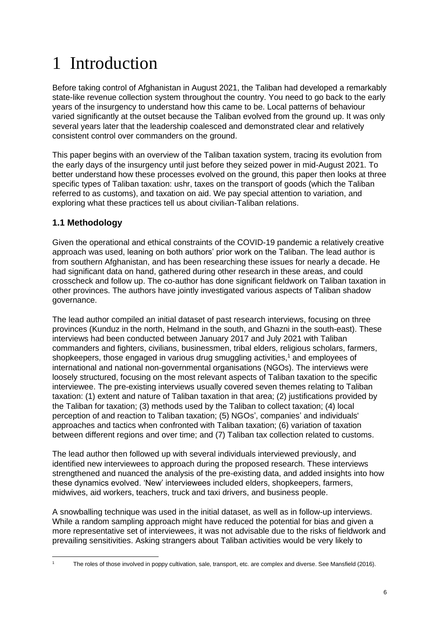# 1 Introduction

Before taking control of Afghanistan in August 2021, the Taliban had developed a remarkably state-like revenue collection system throughout the country. You need to go back to the early years of the insurgency to understand how this came to be. Local patterns of behaviour varied significantly at the outset because the Taliban evolved from the ground up. It was only several years later that the leadership coalesced and demonstrated clear and relatively consistent control over commanders on the ground.

This paper begins with an overview of the Taliban taxation system, tracing its evolution from the early days of the insurgency until just before they seized power in mid-August 2021. To better understand how these processes evolved on the ground, this paper then looks at three specific types of Taliban taxation: ushr, taxes on the transport of goods (which the Taliban referred to as customs), and taxation on aid. We pay special attention to variation, and exploring what these practices tell us about civilian-Taliban relations.

## **1.1 Methodology**

Given the operational and ethical constraints of the COVID-19 pandemic a relatively creative approach was used, leaning on both authors' prior work on the Taliban. The lead author is from southern Afghanistan, and has been researching these issues for nearly a decade. He had significant data on hand, gathered during other research in these areas, and could crosscheck and follow up. The co-author has done significant fieldwork on Taliban taxation in other provinces. The authors have jointly investigated various aspects of Taliban shadow governance.

The lead author compiled an initial dataset of past research interviews, focusing on three provinces (Kunduz in the north, Helmand in the south, and Ghazni in the south-east). These interviews had been conducted between January 2017 and July 2021 with Taliban commanders and fighters, civilians, businessmen, tribal elders, religious scholars, farmers, shopkeepers, those engaged in various drug smuggling activities, <sup>1</sup> and employees of international and national non-governmental organisations (NGOs). The interviews were loosely structured, focusing on the most relevant aspects of Taliban taxation to the specific interviewee. The pre-existing interviews usually covered seven themes relating to Taliban taxation: (1) extent and nature of Taliban taxation in that area; (2) justifications provided by the Taliban for taxation; (3) methods used by the Taliban to collect taxation; (4) local perception of and reaction to Taliban taxation; (5) NGOs', companies' and individuals' approaches and tactics when confronted with Taliban taxation; (6) variation of taxation between different regions and over time; and (7) Taliban tax collection related to customs.

The lead author then followed up with several individuals interviewed previously, and identified new interviewees to approach during the proposed research. These interviews strengthened and nuanced the analysis of the pre-existing data, and added insights into how these dynamics evolved. 'New' interviewees included elders, shopkeepers, farmers, midwives, aid workers, teachers, truck and taxi drivers, and business people.

A snowballing technique was used in the initial dataset, as well as in follow-up interviews. While a random sampling approach might have reduced the potential for bias and given a more representative set of interviewees, it was not advisable due to the risks of fieldwork and prevailing sensitivities. Asking strangers about Taliban activities would be very likely to

<sup>1</sup> The roles of those involved in poppy cultivation, sale, transport, etc. are complex and diverse. See Mansfield (2016).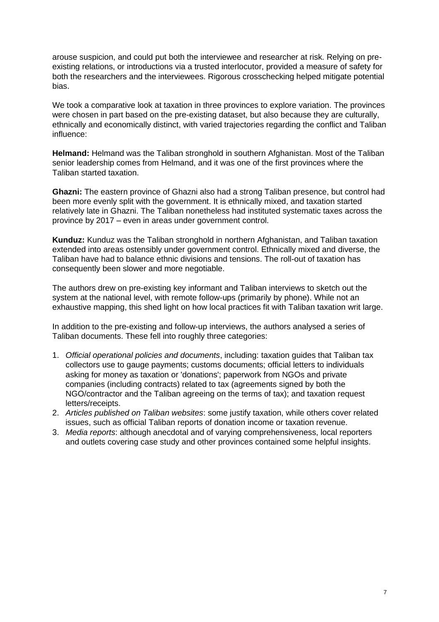arouse suspicion, and could put both the interviewee and researcher at risk. Relying on preexisting relations, or introductions via a trusted interlocutor, provided a measure of safety for both the researchers and the interviewees. Rigorous crosschecking helped mitigate potential bias.

We took a comparative look at taxation in three provinces to explore variation. The provinces were chosen in part based on the pre-existing dataset, but also because they are culturally, ethnically and economically distinct, with varied trajectories regarding the conflict and Taliban influence:

**Helmand:** Helmand was the Taliban stronghold in southern Afghanistan. Most of the Taliban senior leadership comes from Helmand, and it was one of the first provinces where the Taliban started taxation.

**Ghazni:** The eastern province of Ghazni also had a strong Taliban presence, but control had been more evenly split with the government. It is ethnically mixed, and taxation started relatively late in Ghazni. The Taliban nonetheless had instituted systematic taxes across the province by 2017 – even in areas under government control.

**Kunduz:** Kunduz was the Taliban stronghold in northern Afghanistan, and Taliban taxation extended into areas ostensibly under government control. Ethnically mixed and diverse, the Taliban have had to balance ethnic divisions and tensions. The roll-out of taxation has consequently been slower and more negotiable.

The authors drew on pre-existing key informant and Taliban interviews to sketch out the system at the national level, with remote follow-ups (primarily by phone). While not an exhaustive mapping, this shed light on how local practices fit with Taliban taxation writ large.

In addition to the pre-existing and follow-up interviews, the authors analysed a series of Taliban documents. These fell into roughly three categories:

- 1. *Official operational policies and documents*, including: taxation guides that Taliban tax collectors use to gauge payments; customs documents; official letters to individuals asking for money as taxation or 'donations'; paperwork from NGOs and private companies (including contracts) related to tax (agreements signed by both the NGO/contractor and the Taliban agreeing on the terms of tax); and taxation request letters/receipts.
- 2. *Articles published on Taliban websites*: some justify taxation, while others cover related issues, such as official Taliban reports of donation income or taxation revenue.
- 3. *Media reports*: although anecdotal and of varying comprehensiveness, local reporters and outlets covering case study and other provinces contained some helpful insights.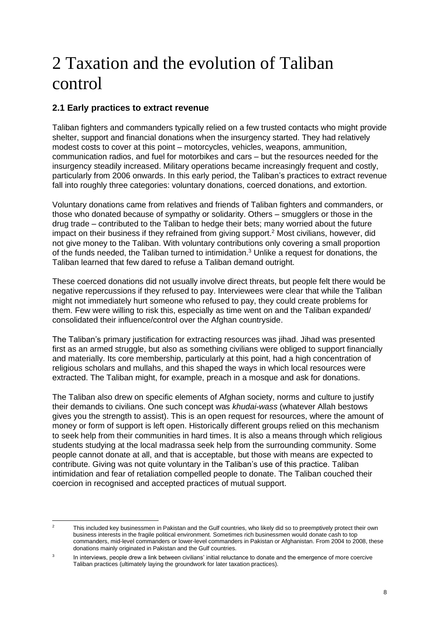## 2 Taxation and the evolution of Taliban control

### **2.1 Early practices to extract revenue**

Taliban fighters and commanders typically relied on a few trusted contacts who might provide shelter, support and financial donations when the insurgency started. They had relatively modest costs to cover at this point – motorcycles, vehicles, weapons, ammunition, communication radios, and fuel for motorbikes and cars – but the resources needed for the insurgency steadily increased. Military operations became increasingly frequent and costly, particularly from 2006 onwards. In this early period, the Taliban's practices to extract revenue fall into roughly three categories: voluntary donations, coerced donations, and extortion.

Voluntary donations came from relatives and friends of Taliban fighters and commanders, or those who donated because of sympathy or solidarity. Others – smugglers or those in the drug trade – contributed to the Taliban to hedge their bets; many worried about the future impact on their business if they refrained from giving support.<sup>2</sup> Most civilians, however, did not give money to the Taliban. With voluntary contributions only covering a small proportion of the funds needed, the Taliban turned to intimidation.<sup>3</sup> Unlike a request for donations, the Taliban learned that few dared to refuse a Taliban demand outright.

These coerced donations did not usually involve direct threats, but people felt there would be negative repercussions if they refused to pay. Interviewees were clear that while the Taliban might not immediately hurt someone who refused to pay, they could create problems for them. Few were willing to risk this, especially as time went on and the Taliban expanded/ consolidated their influence/control over the Afghan countryside.

The Taliban's primary justification for extracting resources was jihad. Jihad was presented first as an armed struggle, but also as something civilians were obliged to support financially and materially. Its core membership, particularly at this point, had a high concentration of religious scholars and mullahs, and this shaped the ways in which local resources were extracted. The Taliban might, for example, preach in a mosque and ask for donations.

The Taliban also drew on specific elements of Afghan society, norms and culture to justify their demands to civilians. One such concept was *khudai-wass* (whatever Allah bestows gives you the strength to assist). This is an open request for resources, where the amount of money or form of support is left open. Historically different groups relied on this mechanism to seek help from their communities in hard times. It is also a means through which religious students studying at the local madrassa seek help from the surrounding community. Some people cannot donate at all, and that is acceptable, but those with means are expected to contribute. Giving was not quite voluntary in the Taliban's use of this practice. Taliban intimidation and fear of retaliation compelled people to donate. The Taliban couched their coercion in recognised and accepted practices of mutual support.

This included key businessmen in Pakistan and the Gulf countries, who likely did so to preemptively protect their own business interests in the fragile political environment. Sometimes rich businessmen would donate cash to top commanders, mid-level commanders or lower-level commanders in Pakistan or Afghanistan. From 2004 to 2008, these donations mainly originated in Pakistan and the Gulf countries.

<sup>3</sup> In interviews, people drew a link between civilians' initial reluctance to donate and the emergence of more coercive Taliban practices (ultimately laying the groundwork for later taxation practices).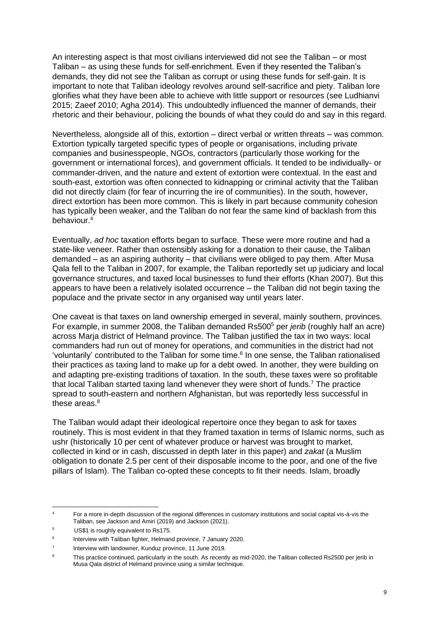An interesting aspect is that most civilians interviewed did not see the Taliban – or most Taliban – as using these funds for self-enrichment. Even if they resented the Taliban's demands, they did not see the Taliban as corrupt or using these funds for self-gain. It is important to note that Taliban ideology revolves around self-sacrifice and piety. Taliban lore glorifies what they have been able to achieve with little support or resources (see Ludhianvi 2015; Zaeef 2010; Agha 2014). This undoubtedly influenced the manner of demands, their rhetoric and their behaviour, policing the bounds of what they could do and say in this regard.

Nevertheless, alongside all of this, extortion – direct verbal or written threats – was common. Extortion typically targeted specific types of people or organisations, including private companies and businesspeople, NGOs, contractors (particularly those working for the government or international forces), and government officials. It tended to be individually- or commander-driven, and the nature and extent of extortion were contextual. In the east and south-east, extortion was often connected to kidnapping or criminal activity that the Taliban did not directly claim (for fear of incurring the ire of communities). In the south, however, direct extortion has been more common. This is likely in part because community cohesion has typically been weaker, and the Taliban do not fear the same kind of backlash from this behaviour.<sup>4</sup>

Eventually, *ad hoc* taxation efforts began to surface. These were more routine and had a state-like veneer. Rather than ostensibly asking for a donation to their cause, the Taliban demanded – as an aspiring authority – that civilians were obliged to pay them. After Musa Qala fell to the Taliban in 2007, for example, the Taliban reportedly set up judiciary and local governance structures, and taxed local businesses to fund their efforts (Khan 2007). But this appears to have been a relatively isolated occurrence – the Taliban did not begin taxing the populace and the private sector in any organised way until years later.

One caveat is that taxes on land ownership emerged in several, mainly southern, provinces. For example, in summer 2008, the Taliban demanded Rs500<sup>5</sup> per *jerib* (roughly half an acre) across Marja district of Helmand province. The Taliban justified the tax in two ways: local commanders had run out of money for operations, and communities in the district had not 'voluntarily' contributed to the Taliban for some time. 6 In one sense, the Taliban rationalised their practices as taxing land to make up for a debt owed. In another, they were building on and adapting pre-existing traditions of taxation. In the south, these taxes were so profitable that local Taliban started taxing land whenever they were short of funds.<sup>7</sup> The practice spread to south-eastern and northern Afghanistan, but was reportedly less successful in these areas. $8$ 

The Taliban would adapt their ideological repertoire once they began to ask for taxes routinely. This is most evident in that they framed taxation in terms of Islamic norms, such as ushr (historically 10 per cent of whatever produce or harvest was brought to market, collected in kind or in cash, discussed in depth later in this paper) and *zakat* (a Muslim obligation to donate 2.5 per cent of their disposable income to the poor, and one of the five pillars of Islam). The Taliban co-opted these concepts to fit their needs. Islam, broadly

<sup>4</sup> For a more in-depth discussion of the regional differences in customary institutions and social capital vis-à-vis the Taliban, see Jackson and Amiri (2019) and Jackson (2021).

<sup>5</sup> US\$1 is roughly equivalent to Rs175.

<sup>6</sup> Interview with Taliban fighter, Helmand province, 7 January 2020.

<sup>7</sup> Interview with landowner, Kunduz province, 11 June 2019.

<sup>&</sup>lt;sup>8</sup> This practice continued, particularly in the south. As recently as mid-2020, the Taliban collected Rs2500 per jerib in Musa Qala district of Helmand province using a similar technique.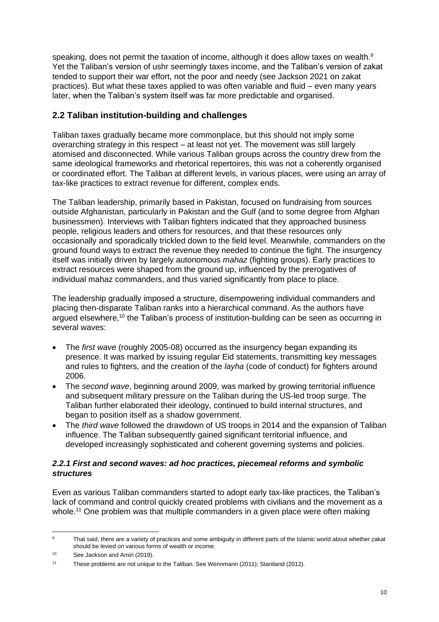speaking, does not permit the taxation of income, although it does allow taxes on wealth. $9$ Yet the Taliban's version of ushr seemingly taxes income, and the Taliban's version of zakat tended to support their war effort, not the poor and needy (see Jackson 2021 on zakat practices). But what these taxes applied to was often variable and fluid – even many years later, when the Taliban's system itself was far more predictable and organised.

## **2.2 Taliban institution-building and challenges**

Taliban taxes gradually became more commonplace, but this should not imply some overarching strategy in this respect – at least not yet. The movement was still largely atomised and disconnected. While various Taliban groups across the country drew from the same ideological frameworks and rhetorical repertoires, this was not a coherently organised or coordinated effort. The Taliban at different levels, in various places, were using an array of tax-like practices to extract revenue for different, complex ends.

The Taliban leadership, primarily based in Pakistan, focused on fundraising from sources outside Afghanistan, particularly in Pakistan and the Gulf (and to some degree from Afghan businessmen). Interviews with Taliban fighters indicated that they approached business people, religious leaders and others for resources, and that these resources only occasionally and sporadically trickled down to the field level. Meanwhile, commanders on the ground found ways to extract the revenue they needed to continue the fight. The insurgency itself was initially driven by largely autonomous *mahaz* (fighting groups). Early practices to extract resources were shaped from the ground up, influenced by the prerogatives of individual mahaz commanders, and thus varied significantly from place to place.

The leadership gradually imposed a structure, disempowering individual commanders and placing then-disparate Taliban ranks into a hierarchical command. As the authors have argued elsewhere,<sup>10</sup> the Taliban's process of institution-building can be seen as occurring in several waves:

- The *first wave* (roughly 2005-08) occurred as the insurgency began expanding its presence. It was marked by issuing regular Eid statements, transmitting key messages and rules to fighters, and the creation of the *layha* (code of conduct) for fighters around 2006.
- The *second wave*, beginning around 2009, was marked by growing territorial influence and subsequent military pressure on the Taliban during the US-led troop surge. The Taliban further elaborated their ideology, continued to build internal structures, and began to position itself as a shadow government.
- The *third wave* followed the drawdown of US troops in 2014 and the expansion of Taliban influence. The Taliban subsequently gained significant territorial influence, and developed increasingly sophisticated and coherent governing systems and policies.

#### *2.2.1 First and second waves: ad hoc practices, piecemeal reforms and symbolic structures*

Even as various Taliban commanders started to adopt early tax-like practices, the Taliban's lack of command and control quickly created problems with civilians and the movement as a whole.<sup>11</sup> One problem was that multiple commanders in a given place were often making

<sup>&</sup>lt;sup>9</sup> That said, there are a variety of practices and some ambiguity in different parts of the Islamic world about whether zakat should be levied on various forms of wealth or income.

<sup>10</sup> See Jackson and Amiri (2019).

<sup>&</sup>lt;sup>11</sup> These problems are not unique to the Taliban. See Wennmann (2011); Staniland (2012).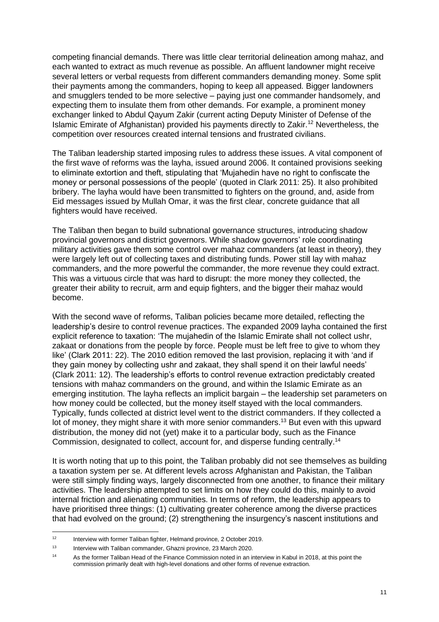competing financial demands. There was little clear territorial delineation among mahaz, and each wanted to extract as much revenue as possible. An affluent landowner might receive several letters or verbal requests from different commanders demanding money. Some split their payments among the commanders, hoping to keep all appeased. Bigger landowners and smugglers tended to be more selective – paying just one commander handsomely, and expecting them to insulate them from other demands. For example, a prominent money exchanger linked to Abdul Qayum Zakir (current acting Deputy Minister of Defense of the Islamic Emirate of Afghanistan) provided his payments directly to Zakir.<sup>12</sup> Nevertheless, the competition over resources created internal tensions and frustrated civilians.

The Taliban leadership started imposing rules to address these issues. A vital component of the first wave of reforms was the layha, issued around 2006. It contained provisions seeking to eliminate extortion and theft, stipulating that 'Mujahedin have no right to confiscate the money or personal possessions of the people' (quoted in Clark 2011: 25). It also prohibited bribery. The layha would have been transmitted to fighters on the ground, and, aside from Eid messages issued by Mullah Omar, it was the first clear, concrete guidance that all fighters would have received.

The Taliban then began to build subnational governance structures, introducing shadow provincial governors and district governors. While shadow governors' role coordinating military activities gave them some control over mahaz commanders (at least in theory), they were largely left out of collecting taxes and distributing funds. Power still lay with mahaz commanders, and the more powerful the commander, the more revenue they could extract. This was a virtuous circle that was hard to disrupt: the more money they collected, the greater their ability to recruit, arm and equip fighters, and the bigger their mahaz would become.

With the second wave of reforms, Taliban policies became more detailed, reflecting the leadership's desire to control revenue practices. The expanded 2009 layha contained the first explicit reference to taxation: 'The mujahedin of the Islamic Emirate shall not collect ushr, zakaat or donations from the people by force. People must be left free to give to whom they like' (Clark 2011: 22). The 2010 edition removed the last provision, replacing it with 'and if they gain money by collecting ushr and zakaat, they shall spend it on their lawful needs' (Clark 2011: 12). The leadership's efforts to control revenue extraction predictably created tensions with mahaz commanders on the ground, and within the Islamic Emirate as an emerging institution. The layha reflects an implicit bargain – the leadership set parameters on how money could be collected, but the money itself stayed with the local commanders. Typically, funds collected at district level went to the district commanders. If they collected a lot of money, they might share it with more senior commanders.<sup>13</sup> But even with this upward distribution, the money did not (yet) make it to a particular body, such as the Finance Commission, designated to collect, account for, and disperse funding centrally. 14

It is worth noting that up to this point, the Taliban probably did not see themselves as building a taxation system per se. At different levels across Afghanistan and Pakistan, the Taliban were still simply finding ways, largely disconnected from one another, to finance their military activities. The leadership attempted to set limits on how they could do this, mainly to avoid internal friction and alienating communities. In terms of reform, the leadership appears to have prioritised three things: (1) cultivating greater coherence among the diverse practices that had evolved on the ground; (2) strengthening the insurgency's nascent institutions and

<sup>&</sup>lt;sup>12</sup> Interview with former Taliban fighter, Helmand province, 2 October 2019.

<sup>&</sup>lt;sup>13</sup> Interview with Taliban commander, Ghazni province, 23 March 2020.

<sup>&</sup>lt;sup>14</sup> As the former Taliban Head of the Finance Commission noted in an interview in Kabul in 2018, at this point the commission primarily dealt with high-level donations and other forms of revenue extraction.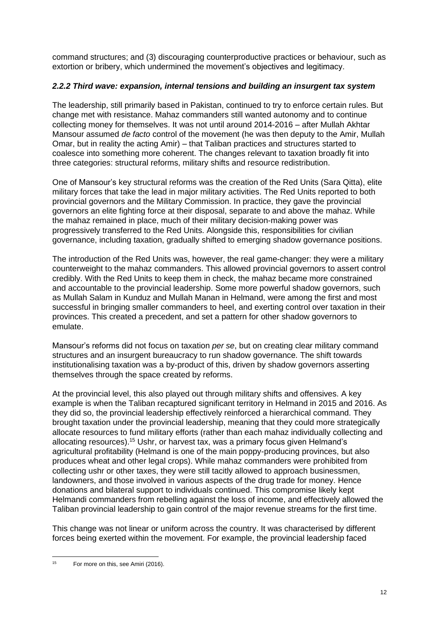command structures; and (3) discouraging counterproductive practices or behaviour, such as extortion or bribery, which undermined the movement's objectives and legitimacy.

### *2.2.2 Third wave: expansion, internal tensions and building an insurgent tax system*

The leadership, still primarily based in Pakistan, continued to try to enforce certain rules. But change met with resistance. Mahaz commanders still wanted autonomy and to continue collecting money for themselves. It was not until around 2014-2016 – after Mullah Akhtar Mansour assumed *de facto* control of the movement (he was then deputy to the Amir, Mullah Omar, but in reality the acting Amir) – that Taliban practices and structures started to coalesce into something more coherent. The changes relevant to taxation broadly fit into three categories: structural reforms, military shifts and resource redistribution.

One of Mansour's key structural reforms was the creation of the Red Units (Sara Qitta), elite military forces that take the lead in major military activities. The Red Units reported to both provincial governors and the Military Commission. In practice, they gave the provincial governors an elite fighting force at their disposal, separate to and above the mahaz. While the mahaz remained in place, much of their military decision-making power was progressively transferred to the Red Units. Alongside this, responsibilities for civilian governance, including taxation, gradually shifted to emerging shadow governance positions.

The introduction of the Red Units was, however, the real game-changer: they were a military counterweight to the mahaz commanders. This allowed provincial governors to assert control credibly. With the Red Units to keep them in check, the mahaz became more constrained and accountable to the provincial leadership. Some more powerful shadow governors, such as Mullah Salam in Kunduz and Mullah Manan in Helmand, were among the first and most successful in bringing smaller commanders to heel, and exerting control over taxation in their provinces. This created a precedent, and set a pattern for other shadow governors to emulate.

Mansour's reforms did not focus on taxation *per se*, but on creating clear military command structures and an insurgent bureaucracy to run shadow governance. The shift towards institutionalising taxation was a by-product of this, driven by shadow governors asserting themselves through the space created by reforms.

At the provincial level, this also played out through military shifts and offensives. A key example is when the Taliban recaptured significant territory in Helmand in 2015 and 2016. As they did so, the provincial leadership effectively reinforced a hierarchical command. They brought taxation under the provincial leadership, meaning that they could more strategically allocate resources to fund military efforts (rather than each mahaz individually collecting and allocating resources). <sup>15</sup> Ushr, or harvest tax, was a primary focus given Helmand's agricultural profitability (Helmand is one of the main poppy-producing provinces, but also produces wheat and other legal crops). While mahaz commanders were prohibited from collecting ushr or other taxes, they were still tacitly allowed to approach businessmen, landowners, and those involved in various aspects of the drug trade for money. Hence donations and bilateral support to individuals continued. This compromise likely kept Helmandi commanders from rebelling against the loss of income, and effectively allowed the Taliban provincial leadership to gain control of the major revenue streams for the first time.

This change was not linear or uniform across the country. It was characterised by different forces being exerted within the movement. For example, the provincial leadership faced

<sup>&</sup>lt;sup>15</sup> For more on this, see Amiri (2016).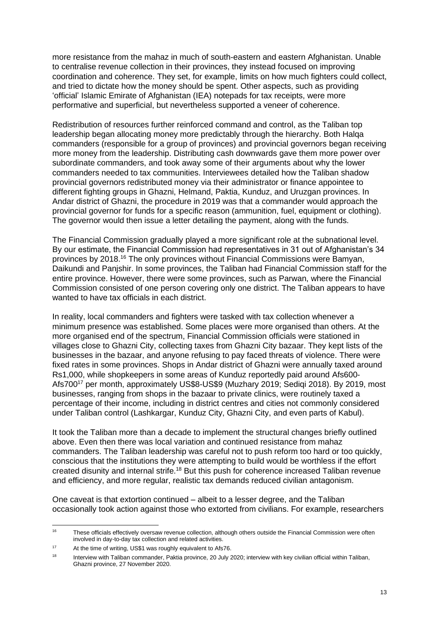more resistance from the mahaz in much of south-eastern and eastern Afghanistan. Unable to centralise revenue collection in their provinces, they instead focused on improving coordination and coherence. They set, for example, limits on how much fighters could collect, and tried to dictate how the money should be spent. Other aspects, such as providing 'official' Islamic Emirate of Afghanistan (IEA) notepads for tax receipts, were more performative and superficial, but nevertheless supported a veneer of coherence.

Redistribution of resources further reinforced command and control, as the Taliban top leadership began allocating money more predictably through the hierarchy. Both Halqa commanders (responsible for a group of provinces) and provincial governors began receiving more money from the leadership. Distributing cash downwards gave them more power over subordinate commanders, and took away some of their arguments about why the lower commanders needed to tax communities. Interviewees detailed how the Taliban shadow provincial governors redistributed money via their administrator or finance appointee to different fighting groups in Ghazni, Helmand, Paktia, Kunduz, and Uruzgan provinces. In Andar district of Ghazni, the procedure in 2019 was that a commander would approach the provincial governor for funds for a specific reason (ammunition, fuel, equipment or clothing). The governor would then issue a letter detailing the payment, along with the funds.

The Financial Commission gradually played a more significant role at the subnational level. By our estimate, the Financial Commission had representatives in 31 out of Afghanistan's 34 provinces by 2018.<sup>16</sup> The only provinces without Financial Commissions were Bamyan, Daikundi and Panjshir. In some provinces, the Taliban had Financial Commission staff for the entire province. However, there were some provinces, such as Parwan, where the Financial Commission consisted of one person covering only one district. The Taliban appears to have wanted to have tax officials in each district.

In reality, local commanders and fighters were tasked with tax collection whenever a minimum presence was established. Some places were more organised than others. At the more organised end of the spectrum, Financial Commission officials were stationed in villages close to Ghazni City, collecting taxes from Ghazni City bazaar. They kept lists of the businesses in the bazaar, and anyone refusing to pay faced threats of violence. There were fixed rates in some provinces. Shops in Andar district of Ghazni were annually taxed around Rs1,000, while shopkeepers in some areas of Kunduz reportedly paid around Afs600- Afs700<sup>17</sup> per month, approximately US\$8-US\$9 (Muzhary 2019; Sediqi 2018). By 2019, most businesses, ranging from shops in the bazaar to private clinics, were routinely taxed a percentage of their income, including in district centres and cities not commonly considered under Taliban control (Lashkargar, Kunduz City, Ghazni City, and even parts of Kabul).

It took the Taliban more than a decade to implement the structural changes briefly outlined above. Even then there was local variation and continued resistance from mahaz commanders. The Taliban leadership was careful not to push reform too hard or too quickly, conscious that the institutions they were attempting to build would be worthless if the effort created disunity and internal strife.<sup>18</sup> But this push for coherence increased Taliban revenue and efficiency, and more regular, realistic tax demands reduced civilian antagonism.

One caveat is that extortion continued – albeit to a lesser degree, and the Taliban occasionally took action against those who extorted from civilians. For example, researchers

<sup>&</sup>lt;sup>16</sup> These officials effectively oversaw revenue collection, although others outside the Financial Commission were often involved in day-to-day tax collection and related activities.

<sup>17</sup> At the time of writing, US\$1 was roughly equivalent to Afs76.

<sup>&</sup>lt;sup>18</sup> Interview with Taliban commander, Paktia province, 20 July 2020; interview with key civilian official within Taliban, Ghazni province, 27 November 2020.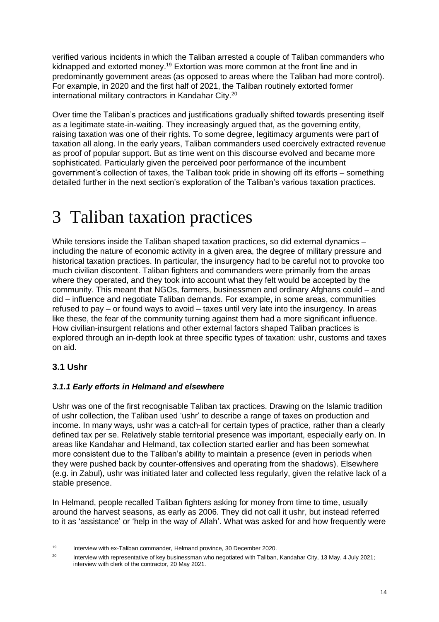verified various incidents in which the Taliban arrested a couple of Taliban commanders who kidnapped and extorted money.<sup>19</sup> Extortion was more common at the front line and in predominantly government areas (as opposed to areas where the Taliban had more control). For example, in 2020 and the first half of 2021, the Taliban routinely extorted former international military contractors in Kandahar City. 20

Over time the Taliban's practices and justifications gradually shifted towards presenting itself as a legitimate state-in-waiting. They increasingly argued that, as the governing entity, raising taxation was one of their rights. To some degree, legitimacy arguments were part of taxation all along. In the early years, Taliban commanders used coercively extracted revenue as proof of popular support. But as time went on this discourse evolved and became more sophisticated. Particularly given the perceived poor performance of the incumbent government's collection of taxes, the Taliban took pride in showing off its efforts – something detailed further in the next section's exploration of the Taliban's various taxation practices.

## 3 Taliban taxation practices

While tensions inside the Taliban shaped taxation practices, so did external dynamics including the nature of economic activity in a given area, the degree of military pressure and historical taxation practices. In particular, the insurgency had to be careful not to provoke too much civilian discontent. Taliban fighters and commanders were primarily from the areas where they operated, and they took into account what they felt would be accepted by the community. This meant that NGOs, farmers, businessmen and ordinary Afghans could – and did – influence and negotiate Taliban demands. For example, in some areas, communities refused to pay – or found ways to avoid – taxes until very late into the insurgency. In areas like these, the fear of the community turning against them had a more significant influence. How civilian-insurgent relations and other external factors shaped Taliban practices is explored through an in-depth look at three specific types of taxation: ushr, customs and taxes on aid.

## **3.1 Ushr**

### *3.1.1 Early efforts in Helmand and elsewhere*

Ushr was one of the first recognisable Taliban tax practices. Drawing on the Islamic tradition of ushr collection, the Taliban used 'ushr' to describe a range of taxes on production and income. In many ways, ushr was a catch-all for certain types of practice, rather than a clearly defined tax per se. Relatively stable territorial presence was important, especially early on. In areas like Kandahar and Helmand, tax collection started earlier and has been somewhat more consistent due to the Taliban's ability to maintain a presence (even in periods when they were pushed back by counter-offensives and operating from the shadows). Elsewhere (e.g. in Zabul), ushr was initiated later and collected less regularly, given the relative lack of a stable presence.

In Helmand, people recalled Taliban fighters asking for money from time to time, usually around the harvest seasons, as early as 2006. They did not call it ushr, but instead referred to it as 'assistance' or 'help in the way of Allah'. What was asked for and how frequently were

<sup>19</sup> Interview with ex-Taliban commander, Helmand province, 30 December 2020.

<sup>&</sup>lt;sup>20</sup> Interview with representative of key businessman who negotiated with Taliban, Kandahar City, 13 May, 4 July 2021; interview with clerk of the contractor, 20 May 2021.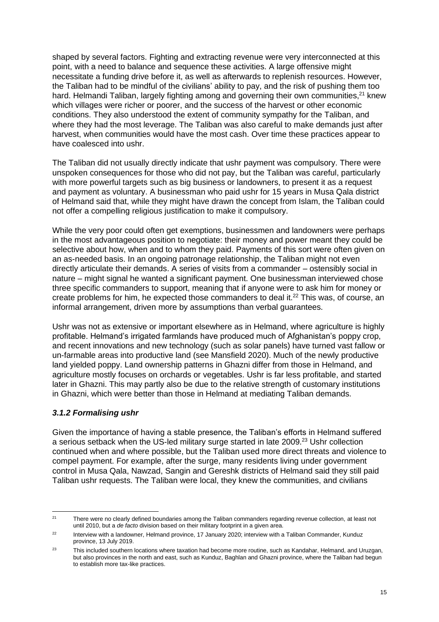shaped by several factors. Fighting and extracting revenue were very interconnected at this point, with a need to balance and sequence these activities. A large offensive might necessitate a funding drive before it, as well as afterwards to replenish resources. However, the Taliban had to be mindful of the civilians' ability to pay, and the risk of pushing them too hard. Helmandi Taliban, largely fighting among and governing their own communities,<sup>21</sup> knew which villages were richer or poorer, and the success of the harvest or other economic conditions. They also understood the extent of community sympathy for the Taliban, and where they had the most leverage. The Taliban was also careful to make demands just after harvest, when communities would have the most cash. Over time these practices appear to have coalesced into ushr.

The Taliban did not usually directly indicate that ushr payment was compulsory. There were unspoken consequences for those who did not pay, but the Taliban was careful, particularly with more powerful targets such as big business or landowners, to present it as a request and payment as voluntary. A businessman who paid ushr for 15 years in Musa Qala district of Helmand said that, while they might have drawn the concept from Islam, the Taliban could not offer a compelling religious justification to make it compulsory.

While the very poor could often get exemptions, businessmen and landowners were perhaps in the most advantageous position to negotiate: their money and power meant they could be selective about how, when and to whom they paid. Payments of this sort were often given on an as-needed basis. In an ongoing patronage relationship, the Taliban might not even directly articulate their demands. A series of visits from a commander – ostensibly social in nature – might signal he wanted a significant payment. One businessman interviewed chose three specific commanders to support, meaning that if anyone were to ask him for money or create problems for him, he expected those commanders to deal it.<sup>22</sup> This was, of course, an informal arrangement, driven more by assumptions than verbal guarantees.

Ushr was not as extensive or important elsewhere as in Helmand, where agriculture is highly profitable. Helmand's irrigated farmlands have produced much of Afghanistan's poppy crop, and recent innovations and new technology (such as solar panels) have turned vast fallow or un-farmable areas into productive land (see Mansfield 2020). Much of the newly productive land yielded poppy. Land ownership patterns in Ghazni differ from those in Helmand, and agriculture mostly focuses on orchards or vegetables. Ushr is far less profitable, and started later in Ghazni. This may partly also be due to the relative strength of customary institutions in Ghazni, which were better than those in Helmand at mediating Taliban demands.

### *3.1.2 Formalising ushr*

Given the importance of having a stable presence, the Taliban's efforts in Helmand suffered a serious setback when the US-led military surge started in late 2009.<sup>23</sup> Ushr collection continued when and where possible, but the Taliban used more direct threats and violence to compel payment. For example, after the surge, many residents living under government control in Musa Qala, Nawzad, Sangin and Gereshk districts of Helmand said they still paid Taliban ushr requests. The Taliban were local, they knew the communities, and civilians

<sup>&</sup>lt;sup>21</sup> There were no clearly defined boundaries among the Taliban commanders regarding revenue collection, at least not until 2010, but a *de facto* division based on their military footprint in a given area.

<sup>&</sup>lt;sup>22</sup> Interview with a landowner, Helmand province, 17 January 2020; interview with a Taliban Commander, Kunduz province, 13 July 2019.

<sup>&</sup>lt;sup>23</sup> This included southern locations where taxation had become more routine, such as Kandahar, Helmand, and Uruzgan, but also provinces in the north and east, such as Kunduz, Baghlan and Ghazni province, where the Taliban had begun to establish more tax-like practices.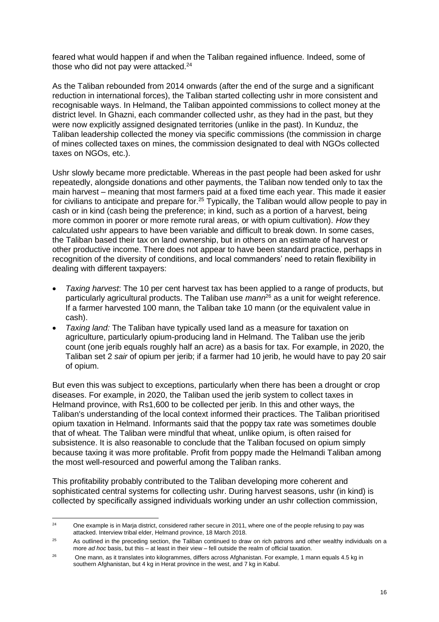feared what would happen if and when the Taliban regained influence. Indeed, some of those who did not pay were attacked.<sup>24</sup>

As the Taliban rebounded from 2014 onwards (after the end of the surge and a significant reduction in international forces), the Taliban started collecting ushr in more consistent and recognisable ways. In Helmand, the Taliban appointed commissions to collect money at the district level. In Ghazni, each commander collected ushr, as they had in the past, but they were now explicitly assigned designated territories (unlike in the past). In Kunduz, the Taliban leadership collected the money via specific commissions (the commission in charge of mines collected taxes on mines, the commission designated to deal with NGOs collected taxes on NGOs, etc.).

Ushr slowly became more predictable. Whereas in the past people had been asked for ushr repeatedly, alongside donations and other payments, the Taliban now tended only to tax the main harvest – meaning that most farmers paid at a fixed time each year. This made it easier for civilians to anticipate and prepare for.<sup>25</sup> Typically, the Taliban would allow people to pay in cash or in kind (cash being the preference; in kind, such as a portion of a harvest, being more common in poorer or more remote rural areas, or with opium cultivation). *How* they calculated ushr appears to have been variable and difficult to break down. In some cases, the Taliban based their tax on land ownership, but in others on an estimate of harvest or other productive income. There does not appear to have been standard practice, perhaps in recognition of the diversity of conditions, and local commanders' need to retain flexibility in dealing with different taxpayers:

- *Taxing harvest*: The 10 per cent harvest tax has been applied to a range of products, but particularly agricultural products. The Taliban use *mann*<sup>26</sup> as a unit for weight reference. If a farmer harvested 100 mann, the Taliban take 10 mann (or the equivalent value in cash).
- *Taxing land:* The Taliban have typically used land as a measure for taxation on agriculture, particularly opium-producing land in Helmand. The Taliban use the jerib count (one jerib equals roughly half an acre) as a basis for tax. For example, in 2020, the Taliban set 2 *sair* of opium per jerib; if a farmer had 10 jerib, he would have to pay 20 sair of opium.

But even this was subject to exceptions, particularly when there has been a drought or crop diseases. For example, in 2020, the Taliban used the jerib system to collect taxes in Helmand province, with Rs1,600 to be collected per jerib. In this and other ways, the Taliban's understanding of the local context informed their practices. The Taliban prioritised opium taxation in Helmand. Informants said that the poppy tax rate was sometimes double that of wheat. The Taliban were mindful that wheat, unlike opium, is often raised for subsistence. It is also reasonable to conclude that the Taliban focused on opium simply because taxing it was more profitable. Profit from poppy made the Helmandi Taliban among the most well-resourced and powerful among the Taliban ranks.

This profitability probably contributed to the Taliban developing more coherent and sophisticated central systems for collecting ushr. During harvest seasons, ushr (in kind) is collected by specifically assigned individuals working under an ushr collection commission,

<sup>&</sup>lt;sup>24</sup> One example is in Marja district, considered rather secure in 2011, where one of the people refusing to pay was attacked. Interview tribal elder, Helmand province, 18 March 2018.

 $25$  As outlined in the preceding section, the Taliban continued to draw on rich patrons and other wealthy individuals on a more *ad hoc* basis, but this – at least in their view – fell outside the realm of official taxation.

<sup>&</sup>lt;sup>26</sup> One mann, as it translates into kilogrammes, differs across Afghanistan. For example, 1 mann equals 4.5 kg in southern Afghanistan, but 4 kg in Herat province in the west, and 7 kg in Kabul.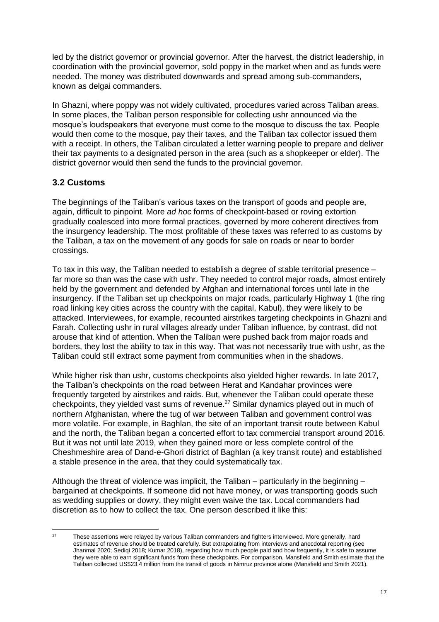led by the district governor or provincial governor. After the harvest, the district leadership, in coordination with the provincial governor, sold poppy in the market when and as funds were needed. The money was distributed downwards and spread among sub-commanders, known as delgai commanders.

In Ghazni, where poppy was not widely cultivated, procedures varied across Taliban areas. In some places, the Taliban person responsible for collecting ushr announced via the mosque's loudspeakers that everyone must come to the mosque to discuss the tax. People would then come to the mosque, pay their taxes, and the Taliban tax collector issued them with a receipt. In others, the Taliban circulated a letter warning people to prepare and deliver their tax payments to a designated person in the area (such as a shopkeeper or elder). The district governor would then send the funds to the provincial governor.

### **3.2 Customs**

The beginnings of the Taliban's various taxes on the transport of goods and people are, again, difficult to pinpoint. More *ad hoc* forms of checkpoint-based or roving extortion gradually coalesced into more formal practices, governed by more coherent directives from the insurgency leadership. The most profitable of these taxes was referred to as customs by the Taliban, a tax on the movement of any goods for sale on roads or near to border crossings.

To tax in this way, the Taliban needed to establish a degree of stable territorial presence – far more so than was the case with ushr. They needed to control major roads, almost entirely held by the government and defended by Afghan and international forces until late in the insurgency. If the Taliban set up checkpoints on major roads, particularly Highway 1 (the ring road linking key cities across the country with the capital, Kabul), they were likely to be attacked. Interviewees, for example, recounted airstrikes targeting checkpoints in Ghazni and Farah. Collecting ushr in rural villages already under Taliban influence, by contrast, did not arouse that kind of attention. When the Taliban were pushed back from major roads and borders, they lost the ability to tax in this way. That was not necessarily true with ushr, as the Taliban could still extract some payment from communities when in the shadows.

While higher risk than ushr, customs checkpoints also yielded higher rewards. In late 2017, the Taliban's checkpoints on the road between Herat and Kandahar provinces were frequently targeted by airstrikes and raids. But, whenever the Taliban could operate these checkpoints, they yielded vast sums of revenue.<sup>27</sup> Similar dynamics played out in much of northern Afghanistan, where the tug of war between Taliban and government control was more volatile. For example, in Baghlan, the site of an important transit route between Kabul and the north, the Taliban began a concerted effort to tax commercial transport around 2016. But it was not until late 2019, when they gained more or less complete control of the Cheshmeshire area of Dand-e-Ghori district of Baghlan (a key transit route) and established a stable presence in the area, that they could systematically tax.

Although the threat of violence was implicit, the Taliban – particularly in the beginning – bargained at checkpoints. If someone did not have money, or was transporting goods such as wedding supplies or dowry, they might even waive the tax. Local commanders had discretion as to how to collect the tax. One person described it like this:

<sup>&</sup>lt;sup>27</sup> These assertions were relayed by various Taliban commanders and fighters interviewed. More generally, hard estimates of revenue should be treated carefully. But extrapolating from interviews and anecdotal reporting (see Jhanmal 2020; Sediqi 2018; Kumar 2018), regarding how much people paid and how frequently, it is safe to assume they were able to earn significant funds from these checkpoints. For comparison, Mansfield and Smith estimate that the Taliban collected US\$23.4 million from the transit of goods in Nimruz province alone (Mansfield and Smith 2021).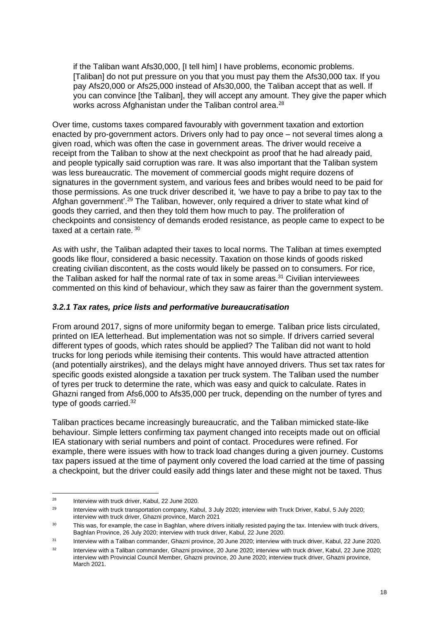if the Taliban want Afs30,000, [I tell him] I have problems, economic problems. [Taliban] do not put pressure on you that you must pay them the Afs30,000 tax. If you pay Afs20,000 or Afs25,000 instead of Afs30,000, the Taliban accept that as well. If you can convince [the Taliban], they will accept any amount. They give the paper which works across Afghanistan under the Taliban control area.<sup>28</sup>

Over time, customs taxes compared favourably with government taxation and extortion enacted by pro-government actors. Drivers only had to pay once – not several times along a given road, which was often the case in government areas. The driver would receive a receipt from the Taliban to show at the next checkpoint as proof that he had already paid, and people typically said corruption was rare. It was also important that the Taliban system was less bureaucratic. The movement of commercial goods might require dozens of signatures in the government system, and various fees and bribes would need to be paid for those permissions. As one truck driver described it, 'we have to pay a bribe to pay tax to the Afghan government'.<sup>29</sup> The Taliban, however, only required a driver to state what kind of goods they carried, and then they told them how much to pay. The proliferation of checkpoints and consistency of demands eroded resistance, as people came to expect to be taxed at a certain rate.<sup>30</sup>

As with ushr, the Taliban adapted their taxes to local norms. The Taliban at times exempted goods like flour, considered a basic necessity. Taxation on those kinds of goods risked creating civilian discontent, as the costs would likely be passed on to consumers. For rice, the Taliban asked for half the normal rate of tax in some areas. $31$  Civilian interviewees commented on this kind of behaviour, which they saw as fairer than the government system.

#### *3.2.1 Tax rates, price lists and performative bureaucratisation*

From around 2017, signs of more uniformity began to emerge. Taliban price lists circulated, printed on IEA letterhead. But implementation was not so simple. If drivers carried several different types of goods, which rates should be applied? The Taliban did not want to hold trucks for long periods while itemising their contents. This would have attracted attention (and potentially airstrikes), and the delays might have annoyed drivers. Thus set tax rates for specific goods existed alongside a taxation per truck system. The Taliban used the number of tyres per truck to determine the rate, which was easy and quick to calculate. Rates in Ghazni ranged from Afs6,000 to Afs35,000 per truck, depending on the number of tyres and type of goods carried.<sup>32</sup>

Taliban practices became increasingly bureaucratic, and the Taliban mimicked state-like behaviour. Simple letters confirming tax payment changed into receipts made out on official IEA stationary with serial numbers and point of contact. Procedures were refined. For example, there were issues with how to track load changes during a given journey. Customs tax papers issued at the time of payment only covered the load carried at the time of passing a checkpoint, but the driver could easily add things later and these might not be taxed. Thus

<sup>&</sup>lt;sup>28</sup> Interview with truck driver, Kabul, 22 June 2020.

<sup>&</sup>lt;sup>29</sup> Interview with truck transportation company, Kabul, 3 July 2020; interview with Truck Driver, Kabul, 5 July 2020; interview with truck driver, Ghazni province, March 2021

<sup>&</sup>lt;sup>30</sup> This was, for example, the case in Baghlan, where drivers initially resisted paying the tax. Interview with truck drivers, Baghlan Province, 26 July 2020; interview with truck driver, Kabul, 22 June 2020.

<sup>&</sup>lt;sup>31</sup> Interview with a Taliban commander, Ghazni province, 20 June 2020; interview with truck driver, Kabul, 22 June 2020.

 $32$  Interview with a Taliban commander, Ghazni province, 20 June 2020; interview with truck driver, Kabul, 22 June 2020; interview with Provincial Council Member, Ghazni province, 20 June 2020; interview truck driver, Ghazni province, March 2021.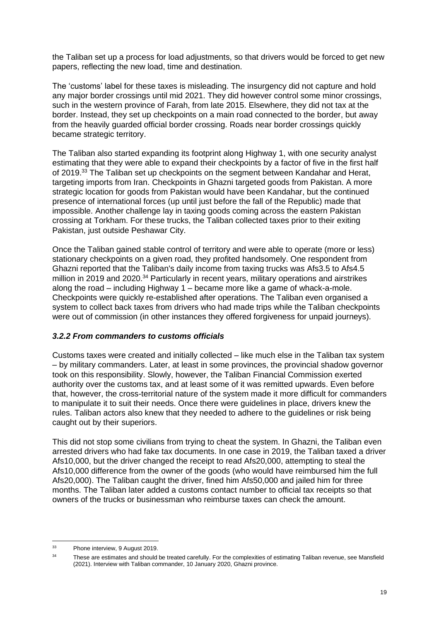the Taliban set up a process for load adjustments, so that drivers would be forced to get new papers, reflecting the new load, time and destination.

The 'customs' label for these taxes is misleading. The insurgency did not capture and hold any major border crossings until mid 2021. They did however control some minor crossings, such in the western province of Farah, from late 2015. Elsewhere, they did not tax at the border. Instead, they set up checkpoints on a main road connected to the border, but away from the heavily guarded official border crossing. Roads near border crossings quickly became strategic territory.

The Taliban also started expanding its footprint along Highway 1, with one security analyst estimating that they were able to expand their checkpoints by a factor of five in the first half of 2019.<sup>33</sup> The Taliban set up checkpoints on the segment between Kandahar and Herat, targeting imports from Iran. Checkpoints in Ghazni targeted goods from Pakistan. A more strategic location for goods from Pakistan would have been Kandahar, but the continued presence of international forces (up until just before the fall of the Republic) made that impossible. Another challenge lay in taxing goods coming across the eastern Pakistan crossing at Torkham. For these trucks, the Taliban collected taxes prior to their exiting Pakistan, just outside Peshawar City.

Once the Taliban gained stable control of territory and were able to operate (more or less) stationary checkpoints on a given road, they profited handsomely. One respondent from Ghazni reported that the Taliban's daily income from taxing trucks was Afs3.5 to Afs4.5 million in 2019 and 2020.<sup>34</sup> Particularly in recent years, military operations and airstrikes along the road – including Highway 1 – became more like a game of whack-a-mole. Checkpoints were quickly re-established after operations. The Taliban even organised a system to collect back taxes from drivers who had made trips while the Taliban checkpoints were out of commission (in other instances they offered forgiveness for unpaid journeys).

### *3.2.2 From commanders to customs officials*

Customs taxes were created and initially collected – like much else in the Taliban tax system – by military commanders. Later, at least in some provinces, the provincial shadow governor took on this responsibility. Slowly, however, the Taliban Financial Commission exerted authority over the customs tax, and at least some of it was remitted upwards. Even before that, however, the cross-territorial nature of the system made it more difficult for commanders to manipulate it to suit their needs. Once there were guidelines in place, drivers knew the rules. Taliban actors also knew that they needed to adhere to the guidelines or risk being caught out by their superiors.

This did not stop some civilians from trying to cheat the system. In Ghazni, the Taliban even arrested drivers who had fake tax documents. In one case in 2019, the Taliban taxed a driver Afs10,000, but the driver changed the receipt to read Afs20,000, attempting to steal the Afs10,000 difference from the owner of the goods (who would have reimbursed him the full Afs20,000). The Taliban caught the driver, fined him Afs50,000 and jailed him for three months. The Taliban later added a customs contact number to official tax receipts so that owners of the trucks or businessman who reimburse taxes can check the amount.

<sup>33</sup> Phone interview, 9 August 2019.

<sup>&</sup>lt;sup>34</sup> These are estimates and should be treated carefully. For the complexities of estimating Taliban revenue, see Mansfield (2021). Interview with Taliban commander, 10 January 2020, Ghazni province.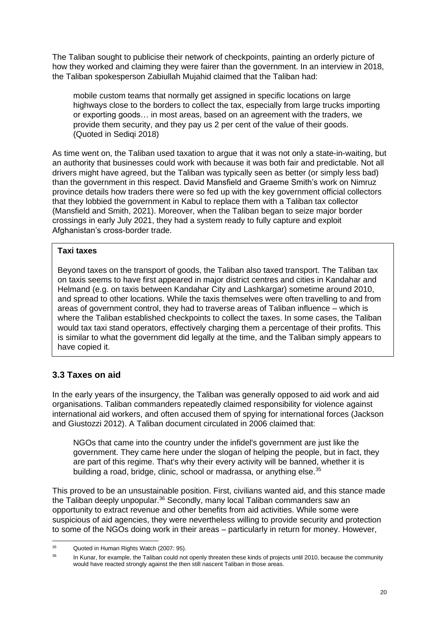The Taliban sought to publicise their network of checkpoints, painting an orderly picture of how they worked and claiming they were fairer than the government. In an interview in 2018, the Taliban spokesperson Zabiullah Mujahid claimed that the Taliban had:

mobile custom teams that normally get assigned in specific locations on large highways close to the borders to collect the tax, especially from large trucks importing or exporting goods… in most areas, based on an agreement with the traders, we provide them security, and they pay us 2 per cent of the value of their goods. (Quoted in Sediqi 2018)

As time went on, the Taliban used taxation to argue that it was not only a state-in-waiting, but an authority that businesses could work with because it was both fair and predictable. Not all drivers might have agreed, but the Taliban was typically seen as better (or simply less bad) than the government in this respect. David Mansfield and Graeme Smith's work on Nimruz province details how traders there were so fed up with the key government official collectors that they lobbied the government in Kabul to replace them with a Taliban tax collector (Mansfield and Smith, 2021). Moreover, when the Taliban began to seize major border crossings in early July 2021, they had a system ready to fully capture and exploit Afghanistan's cross-border trade.

#### **Taxi taxes**

Beyond taxes on the transport of goods, the Taliban also taxed transport. The Taliban tax on taxis seems to have first appeared in major district centres and cities in Kandahar and Helmand (e.g. on taxis between Kandahar City and Lashkargar) sometime around 2010, and spread to other locations. While the taxis themselves were often travelling to and from areas of government control, they had to traverse areas of Taliban influence – which is where the Taliban established checkpoints to collect the taxes. In some cases, the Taliban would tax taxi stand operators, effectively charging them a percentage of their profits. This is similar to what the government did legally at the time, and the Taliban simply appears to have copied it.

## **3.3 Taxes on aid**

In the early years of the insurgency, the Taliban was generally opposed to aid work and aid organisations. Taliban commanders repeatedly claimed responsibility for violence against international aid workers, and often accused them of spying for international forces (Jackson and Giustozzi 2012). A Taliban document circulated in 2006 claimed that:

NGOs that came into the country under the infidel's government are just like the government. They came here under the slogan of helping the people, but in fact, they are part of this regime. That's why their every activity will be banned, whether it is building a road, bridge, clinic, school or madrassa, or anything else.<sup>35</sup>

This proved to be an unsustainable position. First, civilians wanted aid, and this stance made the Taliban deeply unpopular.<sup>36</sup> Secondly, many local Taliban commanders saw an opportunity to extract revenue and other benefits from aid activities. While some were suspicious of aid agencies, they were nevertheless willing to provide security and protection to some of the NGOs doing work in their areas – particularly in return for money. However,

<sup>35</sup> Quoted in Human Rights Watch (2007: 95).

<sup>&</sup>lt;sup>36</sup> In Kunar, for example, the Taliban could not openly threaten these kinds of projects until 2010, because the community would have reacted strongly against the then still nascent Taliban in those areas.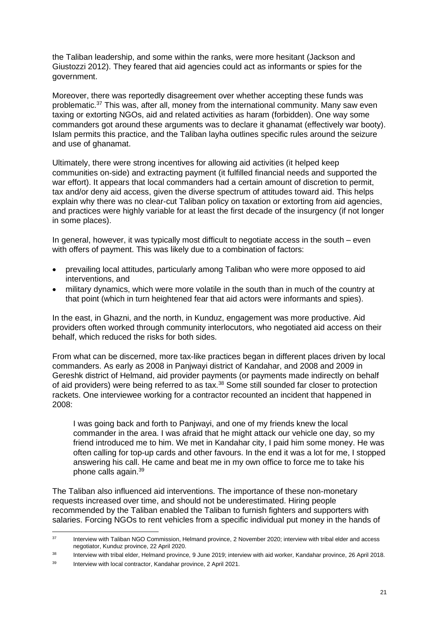the Taliban leadership, and some within the ranks, were more hesitant (Jackson and Giustozzi 2012). They feared that aid agencies could act as informants or spies for the government.

Moreover, there was reportedly disagreement over whether accepting these funds was problematic. <sup>37</sup> This was, after all, money from the international community. Many saw even taxing or extorting NGOs, aid and related activities as haram (forbidden). One way some commanders got around these arguments was to declare it ghanamat (effectively war booty). Islam permits this practice, and the Taliban layha outlines specific rules around the seizure and use of ghanamat.

Ultimately, there were strong incentives for allowing aid activities (it helped keep communities on-side) and extracting payment (it fulfilled financial needs and supported the war effort). It appears that local commanders had a certain amount of discretion to permit, tax and/or deny aid access, given the diverse spectrum of attitudes toward aid. This helps explain why there was no clear-cut Taliban policy on taxation or extorting from aid agencies, and practices were highly variable for at least the first decade of the insurgency (if not longer in some places).

In general, however, it was typically most difficult to negotiate access in the south – even with offers of payment. This was likely due to a combination of factors:

- prevailing local attitudes, particularly among Taliban who were more opposed to aid interventions, and
- military dynamics, which were more volatile in the south than in much of the country at that point (which in turn heightened fear that aid actors were informants and spies).

In the east, in Ghazni, and the north, in Kunduz, engagement was more productive. Aid providers often worked through community interlocutors, who negotiated aid access on their behalf, which reduced the risks for both sides.

From what can be discerned, more tax-like practices began in different places driven by local commanders. As early as 2008 in Panjwayi district of Kandahar, and 2008 and 2009 in Gereshk district of Helmand, aid provider payments (or payments made indirectly on behalf of aid providers) were being referred to as tax.<sup>38</sup> Some still sounded far closer to protection rackets. One interviewee working for a contractor recounted an incident that happened in 2008:

I was going back and forth to Panjwayi, and one of my friends knew the local commander in the area. I was afraid that he might attack our vehicle one day, so my friend introduced me to him. We met in Kandahar city, I paid him some money. He was often calling for top-up cards and other favours. In the end it was a lot for me, I stopped answering his call. He came and beat me in my own office to force me to take his phone calls again.<sup>39</sup>

The Taliban also influenced aid interventions. The importance of these non-monetary requests increased over time, and should not be underestimated. Hiring people recommended by the Taliban enabled the Taliban to furnish fighters and supporters with salaries. Forcing NGOs to rent vehicles from a specific individual put money in the hands of

<sup>&</sup>lt;sup>37</sup> Interview with Taliban NGO Commission, Helmand province, 2 November 2020; interview with tribal elder and access negotiator, Kunduz province, 22 April 2020.

<sup>&</sup>lt;sup>38</sup> Interview with tribal elder, Helmand province, 9 June 2019; interview with aid worker, Kandahar province, 26 April 2018.

<sup>&</sup>lt;sup>39</sup> Interview with local contractor, Kandahar province, 2 April 2021.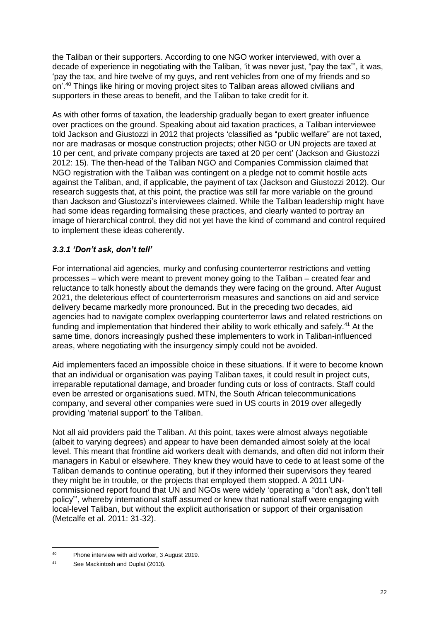the Taliban or their supporters. According to one NGO worker interviewed, with over a decade of experience in negotiating with the Taliban, 'it was never just, "pay the tax"', it was, 'pay the tax, and hire twelve of my guys, and rent vehicles from one of my friends and so on'. <sup>40</sup> Things like hiring or moving project sites to Taliban areas allowed civilians and supporters in these areas to benefit, and the Taliban to take credit for it.

As with other forms of taxation, the leadership gradually began to exert greater influence over practices on the ground. Speaking about aid taxation practices, a Taliban interviewee told Jackson and Giustozzi in 2012 that projects 'classified as "public welfare" are not taxed, nor are madrasas or mosque construction projects; other NGO or UN projects are taxed at 10 per cent, and private company projects are taxed at 20 per cent' (Jackson and Giustozzi 2012: 15). The then-head of the Taliban NGO and Companies Commission claimed that NGO registration with the Taliban was contingent on a pledge not to commit hostile acts against the Taliban, and, if applicable, the payment of tax (Jackson and Giustozzi 2012). Our research suggests that, at this point, the practice was still far more variable on the ground than Jackson and Giustozzi's interviewees claimed. While the Taliban leadership might have had some ideas regarding formalising these practices, and clearly wanted to portray an image of hierarchical control, they did not yet have the kind of command and control required to implement these ideas coherently.

### *3.3.1 'Don't ask, don't tell'*

For international aid agencies, murky and confusing counterterror restrictions and vetting processes – which were meant to prevent money going to the Taliban – created fear and reluctance to talk honestly about the demands they were facing on the ground. After August 2021, the deleterious effect of counterterrorism measures and sanctions on aid and service delivery became markedly more pronounced. But in the preceding two decades, aid agencies had to navigate complex overlapping counterterror laws and related restrictions on funding and implementation that hindered their ability to work ethically and safely.<sup>41</sup> At the same time, donors increasingly pushed these implementers to work in Taliban-influenced areas, where negotiating with the insurgency simply could not be avoided.

Aid implementers faced an impossible choice in these situations. If it were to become known that an individual or organisation was paying Taliban taxes, it could result in project cuts, irreparable reputational damage, and broader funding cuts or loss of contracts. Staff could even be arrested or organisations sued. MTN, the South African telecommunications company, and several other companies were sued in US courts in 2019 over allegedly providing 'material support' to the Taliban.

Not all aid providers paid the Taliban. At this point, taxes were almost always negotiable (albeit to varying degrees) and appear to have been demanded almost solely at the local level. This meant that frontline aid workers dealt with demands, and often did not inform their managers in Kabul or elsewhere. They knew they would have to cede to at least some of the Taliban demands to continue operating, but if they informed their supervisors they feared they might be in trouble, or the projects that employed them stopped. A 2011 UNcommissioned report found that UN and NGOs were widely 'operating a "don't ask, don't tell policy"', whereby international staff assumed or knew that national staff were engaging with local-level Taliban, but without the explicit authorisation or support of their organisation (Metcalfe et al. 2011: 31-32).

<sup>40</sup> Phone interview with aid worker, 3 August 2019.

<sup>41</sup> See Mackintosh and Duplat (2013).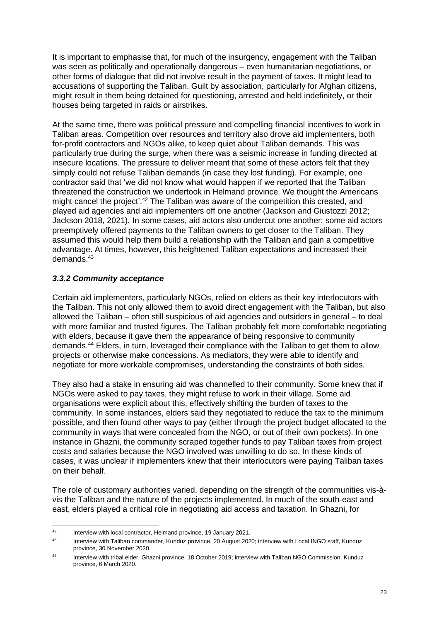It is important to emphasise that, for much of the insurgency, engagement with the Taliban was seen as politically and operationally dangerous – even humanitarian negotiations, or other forms of dialogue that did not involve result in the payment of taxes. It might lead to accusations of supporting the Taliban. Guilt by association, particularly for Afghan citizens, might result in them being detained for questioning, arrested and held indefinitely, or their houses being targeted in raids or airstrikes.

At the same time, there was political pressure and compelling financial incentives to work in Taliban areas. Competition over resources and territory also drove aid implementers, both for-profit contractors and NGOs alike, to keep quiet about Taliban demands. This was particularly true during the surge, when there was a seismic increase in funding directed at insecure locations. The pressure to deliver meant that some of these actors felt that they simply could not refuse Taliban demands (in case they lost funding). For example, one contractor said that 'we did not know what would happen if we reported that the Taliban threatened the construction we undertook in Helmand province. We thought the Americans might cancel the project'.<sup>42</sup> The Taliban was aware of the competition this created, and played aid agencies and aid implementers off one another (Jackson and Giustozzi 2012; Jackson 2018, 2021). In some cases, aid actors also undercut one another; some aid actors preemptively offered payments to the Taliban owners to get closer to the Taliban. They assumed this would help them build a relationship with the Taliban and gain a competitive advantage. At times, however, this heightened Taliban expectations and increased their demands. 43

### *3.3.2 Community acceptance*

Certain aid implementers, particularly NGOs, relied on elders as their key interlocutors with the Taliban. This not only allowed them to avoid direct engagement with the Taliban, but also allowed the Taliban – often still suspicious of aid agencies and outsiders in general – to deal with more familiar and trusted figures. The Taliban probably felt more comfortable negotiating with elders, because it gave them the appearance of being responsive to community demands. <sup>44</sup> Elders, in turn, leveraged their compliance with the Taliban to get them to allow projects or otherwise make concessions. As mediators, they were able to identify and negotiate for more workable compromises, understanding the constraints of both sides.

They also had a stake in ensuring aid was channelled to their community. Some knew that if NGOs were asked to pay taxes, they might refuse to work in their village. Some aid organisations were explicit about this, effectively shifting the burden of taxes to the community. In some instances, elders said they negotiated to reduce the tax to the minimum possible, and then found other ways to pay (either through the project budget allocated to the community in ways that were concealed from the NGO, or out of their own pockets). In one instance in Ghazni, the community scraped together funds to pay Taliban taxes from project costs and salaries because the NGO involved was unwilling to do so. In these kinds of cases, it was unclear if implementers knew that their interlocutors were paying Taliban taxes on their behalf.

The role of customary authorities varied, depending on the strength of the communities vis-àvis the Taliban and the nature of the projects implemented. In much of the south-east and east, elders played a critical role in negotiating aid access and taxation. In Ghazni, for

<sup>&</sup>lt;sup>42</sup> Interview with local contractor, Helmand province, 19 January 2021.

<sup>&</sup>lt;sup>43</sup> Interview with Taliban commander, Kunduz province, 20 August 2020; interview with Local INGO staff, Kunduz province, 30 November 2020.

<sup>44</sup> Interview with tribal elder, Ghazni province, 18 October 2019; interview with Taliban NGO Commission, Kunduz province, 6 March 2020.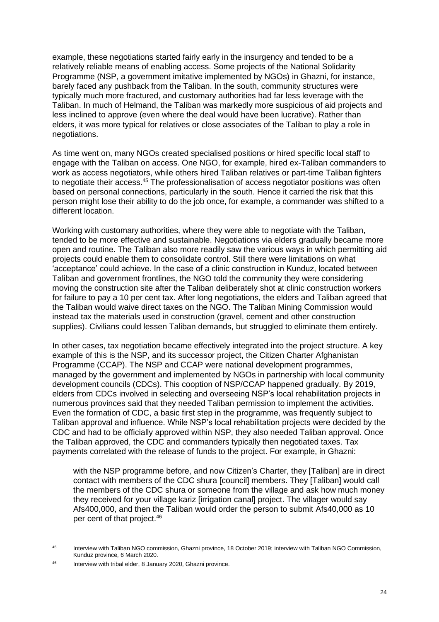example, these negotiations started fairly early in the insurgency and tended to be a relatively reliable means of enabling access. Some projects of the National Solidarity Programme (NSP, a government imitative implemented by NGOs) in Ghazni, for instance, barely faced any pushback from the Taliban. In the south, community structures were typically much more fractured, and customary authorities had far less leverage with the Taliban. In much of Helmand, the Taliban was markedly more suspicious of aid projects and less inclined to approve (even where the deal would have been lucrative). Rather than elders, it was more typical for relatives or close associates of the Taliban to play a role in negotiations.

As time went on, many NGOs created specialised positions or hired specific local staff to engage with the Taliban on access. One NGO, for example, hired ex-Taliban commanders to work as access negotiators, while others hired Taliban relatives or part-time Taliban fighters to negotiate their access.<sup>45</sup> The professionalisation of access negotiator positions was often based on personal connections, particularly in the south. Hence it carried the risk that this person might lose their ability to do the job once, for example, a commander was shifted to a different location.

Working with customary authorities, where they were able to negotiate with the Taliban, tended to be more effective and sustainable. Negotiations via elders gradually became more open and routine. The Taliban also more readily saw the various ways in which permitting aid projects could enable them to consolidate control. Still there were limitations on what 'acceptance' could achieve. In the case of a clinic construction in Kunduz, located between Taliban and government frontlines, the NGO told the community they were considering moving the construction site after the Taliban deliberately shot at clinic construction workers for failure to pay a 10 per cent tax. After long negotiations, the elders and Taliban agreed that the Taliban would waive direct taxes on the NGO. The Taliban Mining Commission would instead tax the materials used in construction (gravel, cement and other construction supplies). Civilians could lessen Taliban demands, but struggled to eliminate them entirely.

In other cases, tax negotiation became effectively integrated into the project structure. A key example of this is the NSP, and its successor project, the Citizen Charter Afghanistan Programme (CCAP). The NSP and CCAP were national development programmes, managed by the government and implemented by NGOs in partnership with local community development councils (CDCs). This cooption of NSP/CCAP happened gradually. By 2019, elders from CDCs involved in selecting and overseeing NSP's local rehabilitation projects in numerous provinces said that they needed Taliban permission to implement the activities. Even the formation of CDC, a basic first step in the programme, was frequently subject to Taliban approval and influence. While NSP's local rehabilitation projects were decided by the CDC and had to be officially approved within NSP, they also needed Taliban approval. Once the Taliban approved, the CDC and commanders typically then negotiated taxes. Tax payments correlated with the release of funds to the project. For example, in Ghazni:

with the NSP programme before, and now Citizen's Charter, they [Taliban] are in direct contact with members of the CDC shura [council] members. They [Taliban] would call the members of the CDC shura or someone from the village and ask how much money they received for your village kariz [irrigation canal] project. The villager would say Afs400,000, and then the Taliban would order the person to submit Afs40,000 as 10 per cent of that project.<sup>46</sup>

<sup>45</sup> Interview with Taliban NGO commission, Ghazni province, 18 October 2019; interview with Taliban NGO Commission, Kunduz province, 6 March 2020.

<sup>46</sup> Interview with tribal elder, 8 January 2020, Ghazni province.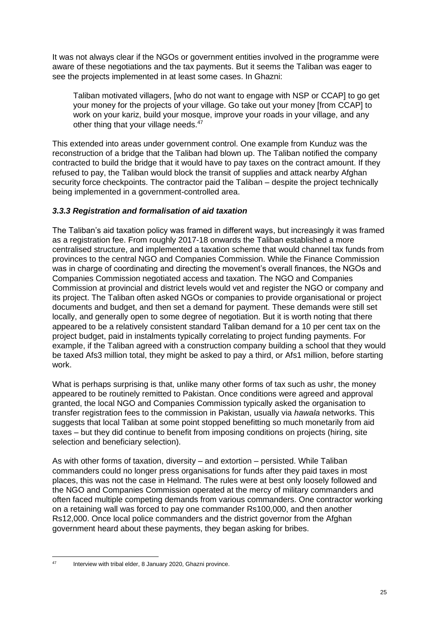It was not always clear if the NGOs or government entities involved in the programme were aware of these negotiations and the tax payments. But it seems the Taliban was eager to see the projects implemented in at least some cases. In Ghazni:

Taliban motivated villagers, [who do not want to engage with NSP or CCAP] to go get your money for the projects of your village. Go take out your money [from CCAP] to work on your kariz, build your mosque, improve your roads in your village, and any other thing that your village needs.<sup>47</sup>

This extended into areas under government control. One example from Kunduz was the reconstruction of a bridge that the Taliban had blown up. The Taliban notified the company contracted to build the bridge that it would have to pay taxes on the contract amount. If they refused to pay, the Taliban would block the transit of supplies and attack nearby Afghan security force checkpoints. The contractor paid the Taliban – despite the project technically being implemented in a government-controlled area.

### *3.3.3 Registration and formalisation of aid taxation*

The Taliban's aid taxation policy was framed in different ways, but increasingly it was framed as a registration fee. From roughly 2017-18 onwards the Taliban established a more centralised structure, and implemented a taxation scheme that would channel tax funds from provinces to the central NGO and Companies Commission. While the Finance Commission was in charge of coordinating and directing the movement's overall finances, the NGOs and Companies Commission negotiated access and taxation. The NGO and Companies Commission at provincial and district levels would vet and register the NGO or company and its project. The Taliban often asked NGOs or companies to provide organisational or project documents and budget, and then set a demand for payment. These demands were still set locally, and generally open to some degree of negotiation. But it is worth noting that there appeared to be a relatively consistent standard Taliban demand for a 10 per cent tax on the project budget, paid in instalments typically correlating to project funding payments. For example, if the Taliban agreed with a construction company building a school that they would be taxed Afs3 million total, they might be asked to pay a third, or Afs1 million, before starting work.

What is perhaps surprising is that, unlike many other forms of tax such as ushr, the money appeared to be routinely remitted to Pakistan. Once conditions were agreed and approval granted, the local NGO and Companies Commission typically asked the organisation to transfer registration fees to the commission in Pakistan, usually via *hawala* networks. This suggests that local Taliban at some point stopped benefitting so much monetarily from aid taxes – but they did continue to benefit from imposing conditions on projects (hiring, site selection and beneficiary selection).

As with other forms of taxation, diversity – and extortion – persisted. While Taliban commanders could no longer press organisations for funds after they paid taxes in most places, this was not the case in Helmand. The rules were at best only loosely followed and the NGO and Companies Commission operated at the mercy of military commanders and often faced multiple competing demands from various commanders. One contractor working on a retaining wall was forced to pay one commander Rs100,000, and then another Rs12,000. Once local police commanders and the district governor from the Afghan government heard about these payments, they began asking for bribes.

<sup>47</sup> Interview with tribal elder, 8 January 2020, Ghazni province.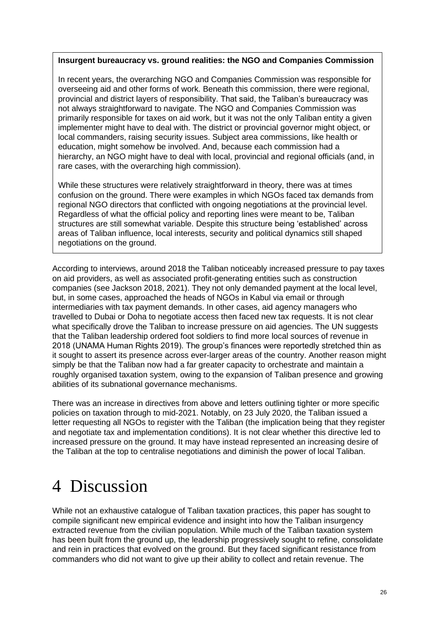#### **Insurgent bureaucracy vs. ground realities: the NGO and Companies Commission**

In recent years, the overarching NGO and Companies Commission was responsible for overseeing aid and other forms of work. Beneath this commission, there were regional, provincial and district layers of responsibility. That said, the Taliban's bureaucracy was not always straightforward to navigate. The NGO and Companies Commission was primarily responsible for taxes on aid work, but it was not the only Taliban entity a given implementer might have to deal with. The district or provincial governor might object, or local commanders, raising security issues. Subject area commissions, like health or education, might somehow be involved. And, because each commission had a hierarchy, an NGO might have to deal with local, provincial and regional officials (and, in rare cases, with the overarching high commission).

While these structures were relatively straightforward in theory, there was at times confusion on the ground. There were examples in which NGOs faced tax demands from regional NGO directors that conflicted with ongoing negotiations at the provincial level. Regardless of what the official policy and reporting lines were meant to be, Taliban structures are still somewhat variable. Despite this structure being 'established' across areas of Taliban influence, local interests, security and political dynamics still shaped negotiations on the ground.

According to interviews, around 2018 the Taliban noticeably increased pressure to pay taxes on aid providers, as well as associated profit-generating entities such as construction companies (see Jackson 2018, 2021). They not only demanded payment at the local level, but, in some cases, approached the heads of NGOs in Kabul via email or through intermediaries with tax payment demands. In other cases, aid agency managers who travelled to Dubai or Doha to negotiate access then faced new tax requests. It is not clear what specifically drove the Taliban to increase pressure on aid agencies. The UN suggests that the Taliban leadership ordered foot soldiers to find more local sources of revenue in 2018 (UNAMA Human Rights 2019). The group's finances were reportedly stretched thin as it sought to assert its presence across ever-larger areas of the country. Another reason might simply be that the Taliban now had a far greater capacity to orchestrate and maintain a roughly organised taxation system, owing to the expansion of Taliban presence and growing abilities of its subnational governance mechanisms.

There was an increase in directives from above and letters outlining tighter or more specific policies on taxation through to mid-2021. Notably, on 23 July 2020, the Taliban issued a letter requesting all NGOs to register with the Taliban (the implication being that they register and negotiate tax and implementation conditions). It is not clear whether this directive led to increased pressure on the ground. It may have instead represented an increasing desire of the Taliban at the top to centralise negotiations and diminish the power of local Taliban.

## 4 Discussion

While not an exhaustive catalogue of Taliban taxation practices, this paper has sought to compile significant new empirical evidence and insight into how the Taliban insurgency extracted revenue from the civilian population. While much of the Taliban taxation system has been built from the ground up, the leadership progressively sought to refine, consolidate and rein in practices that evolved on the ground. But they faced significant resistance from commanders who did not want to give up their ability to collect and retain revenue. The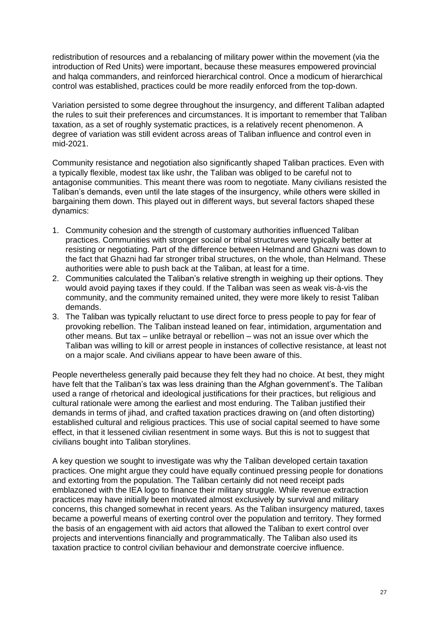redistribution of resources and a rebalancing of military power within the movement (via the introduction of Red Units) were important, because these measures empowered provincial and halqa commanders, and reinforced hierarchical control. Once a modicum of hierarchical control was established, practices could be more readily enforced from the top-down.

Variation persisted to some degree throughout the insurgency, and different Taliban adapted the rules to suit their preferences and circumstances. It is important to remember that Taliban taxation, as a set of roughly systematic practices, is a relatively recent phenomenon. A degree of variation was still evident across areas of Taliban influence and control even in mid-2021.

Community resistance and negotiation also significantly shaped Taliban practices. Even with a typically flexible, modest tax like ushr, the Taliban was obliged to be careful not to antagonise communities. This meant there was room to negotiate. Many civilians resisted the Taliban's demands, even until the late stages of the insurgency, while others were skilled in bargaining them down. This played out in different ways, but several factors shaped these dynamics:

- 1. Community cohesion and the strength of customary authorities influenced Taliban practices. Communities with stronger social or tribal structures were typically better at resisting or negotiating. Part of the difference between Helmand and Ghazni was down to the fact that Ghazni had far stronger tribal structures, on the whole, than Helmand. These authorities were able to push back at the Taliban, at least for a time.
- 2. Communities calculated the Taliban's relative strength in weighing up their options. They would avoid paying taxes if they could. If the Taliban was seen as weak vis-à-vis the community, and the community remained united, they were more likely to resist Taliban demands.
- 3. The Taliban was typically reluctant to use direct force to press people to pay for fear of provoking rebellion. The Taliban instead leaned on fear, intimidation, argumentation and other means. But tax – unlike betrayal or rebellion – was not an issue over which the Taliban was willing to kill or arrest people in instances of collective resistance, at least not on a major scale. And civilians appear to have been aware of this.

People nevertheless generally paid because they felt they had no choice. At best, they might have felt that the Taliban's tax was less draining than the Afghan government's. The Taliban used a range of rhetorical and ideological justifications for their practices, but religious and cultural rationale were among the earliest and most enduring. The Taliban justified their demands in terms of jihad, and crafted taxation practices drawing on (and often distorting) established cultural and religious practices. This use of social capital seemed to have some effect, in that it lessened civilian resentment in some ways. But this is not to suggest that civilians bought into Taliban storylines.

A key question we sought to investigate was why the Taliban developed certain taxation practices. One might argue they could have equally continued pressing people for donations and extorting from the population. The Taliban certainly did not need receipt pads emblazoned with the IEA logo to finance their military struggle. While revenue extraction practices may have initially been motivated almost exclusively by survival and military concerns, this changed somewhat in recent years. As the Taliban insurgency matured, taxes became a powerful means of exerting control over the population and territory. They formed the basis of an engagement with aid actors that allowed the Taliban to exert control over projects and interventions financially and programmatically. The Taliban also used its taxation practice to control civilian behaviour and demonstrate coercive influence.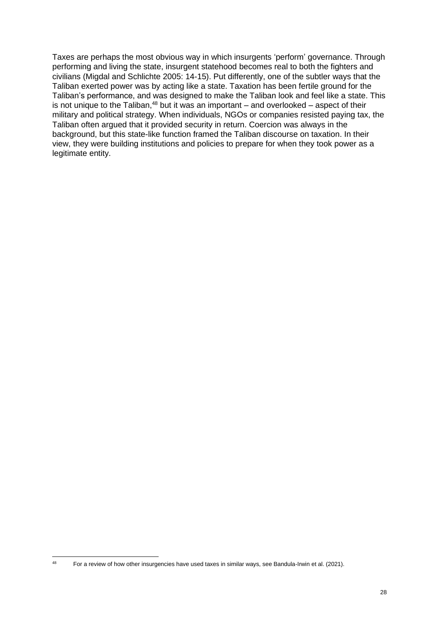Taxes are perhaps the most obvious way in which insurgents 'perform' governance. Through performing and living the state, insurgent statehood becomes real to both the fighters and civilians (Migdal and Schlichte 2005: 14-15). Put differently, one of the subtler ways that the Taliban exerted power was by acting like a state. Taxation has been fertile ground for the Taliban's performance, and was designed to make the Taliban look and feel like a state. This is not unique to the Taliban, $48$  but it was an important – and overlooked – aspect of their military and political strategy. When individuals, NGOs or companies resisted paying tax, the Taliban often argued that it provided security in return. Coercion was always in the background, but this state-like function framed the Taliban discourse on taxation. In their view, they were building institutions and policies to prepare for when they took power as a legitimate entity.

<sup>&</sup>lt;sup>48</sup> For a review of how other insurgencies have used taxes in similar ways, see Bandula-Irwin et al. (2021).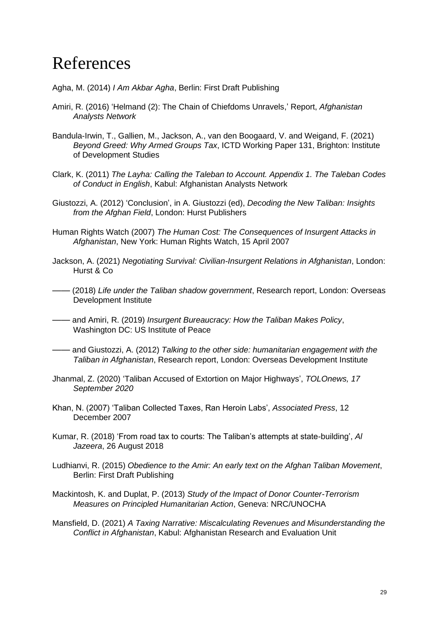## References

- Agha, M. (2014) *I Am Akbar Agha*, Berlin: First Draft Publishing
- Amiri, R. (2016) 'Helmand (2): The Chain of Chiefdoms Unravels,' Report, *Afghanistan Analysts Network*
- Bandula-Irwin, T., Gallien, M., Jackson, A., van den Boogaard, V. and Weigand, F. (2021) *Beyond Greed: Why Armed Groups Tax*, ICTD Working Paper 131, Brighton: Institute of Development Studies
- Clark, K. (2011) *The Layha: Calling the Taleban to Account. Appendix 1. The Taleban Codes of Conduct in English*, Kabul: Afghanistan Analysts Network
- Giustozzi, A. (2012) 'Conclusion', in A. Giustozzi (ed), *Decoding the New Taliban: Insights from the Afghan Field*, London: Hurst Publishers
- Human Rights Watch (2007) *The Human Cost: The Consequences of Insurgent Attacks in Afghanistan*, New York: Human Rights Watch, 15 April 2007
- Jackson, A. (2021) *Negotiating Survival: Civilian-Insurgent Relations in Afghanistan*, London: Hurst & Co
- —— (2018) *Life under the Taliban shadow government*, Research report, London: Overseas Development Institute
- —— and Amiri, R. (2019) *Insurgent Bureaucracy: How the Taliban Makes Policy*, Washington DC: US Institute of Peace
- —— and Giustozzi, A. (2012) *Talking to the other side: humanitarian engagement with the Taliban in Afghanistan*, Research report, London: Overseas Development Institute
- Jhanmal, Z. (2020) 'Taliban Accused of Extortion on Major Highways', *TOLOnews, 17 September 2020*
- Khan, N. (2007) 'Taliban Collected Taxes, Ran Heroin Labs', *Associated Press*, 12 December 2007
- Kumar, R. (2018) 'From road tax to courts: The Taliban's attempts at state-building', *Al Jazeera*, 26 August 2018
- Ludhianvi, R. (2015) *Obedience to the Amir: An early text on the Afghan Taliban Movement*, Berlin: First Draft Publishing
- Mackintosh, K. and Duplat, P. (2013) *Study of the Impact of Donor Counter-Terrorism Measures on Principled Humanitarian Action*, Geneva: NRC/UNOCHA
- Mansfield, D. (2021) *A Taxing Narrative: Miscalculating Revenues and Misunderstanding the Conflict in Afghanistan*, Kabul: Afghanistan Research and Evaluation Unit